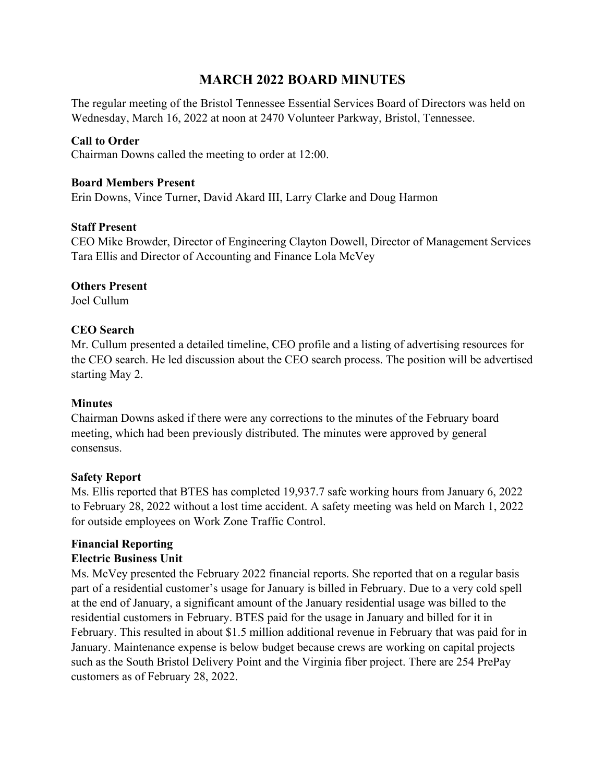# **MARCH 2022 BOARD MINUTES**

The regular meeting of the Bristol Tennessee Essential Services Board of Directors was held on Wednesday, March 16, 2022 at noon at 2470 Volunteer Parkway, Bristol, Tennessee.

# **Call to Order**

Chairman Downs called the meeting to order at 12:00.

## **Board Members Present**

Erin Downs, Vince Turner, David Akard III, Larry Clarke and Doug Harmon

## **Staff Present**

CEO Mike Browder, Director of Engineering Clayton Dowell, Director of Management Services Tara Ellis and Director of Accounting and Finance Lola McVey

## **Others Present**

Joel Cullum

## **CEO Search**

Mr. Cullum presented a detailed timeline, CEO profile and a listing of advertising resources for the CEO search. He led discussion about the CEO search process. The position will be advertised starting May 2.

#### **Minutes**

Chairman Downs asked if there were any corrections to the minutes of the February board meeting, which had been previously distributed. The minutes were approved by general consensus.

#### **Safety Report**

Ms. Ellis reported that BTES has completed 19,937.7 safe working hours from January 6, 2022 to February 28, 2022 without a lost time accident. A safety meeting was held on March 1, 2022 for outside employees on Work Zone Traffic Control.

# **Financial Reporting**

# **Electric Business Unit**

Ms. McVey presented the February 2022 financial reports. She reported that on a regular basis part of a residential customer's usage for January is billed in February. Due to a very cold spell at the end of January, a significant amount of the January residential usage was billed to the residential customers in February. BTES paid for the usage in January and billed for it in February. This resulted in about \$1.5 million additional revenue in February that was paid for in January. Maintenance expense is below budget because crews are working on capital projects such as the South Bristol Delivery Point and the Virginia fiber project. There are 254 PrePay customers as of February 28, 2022.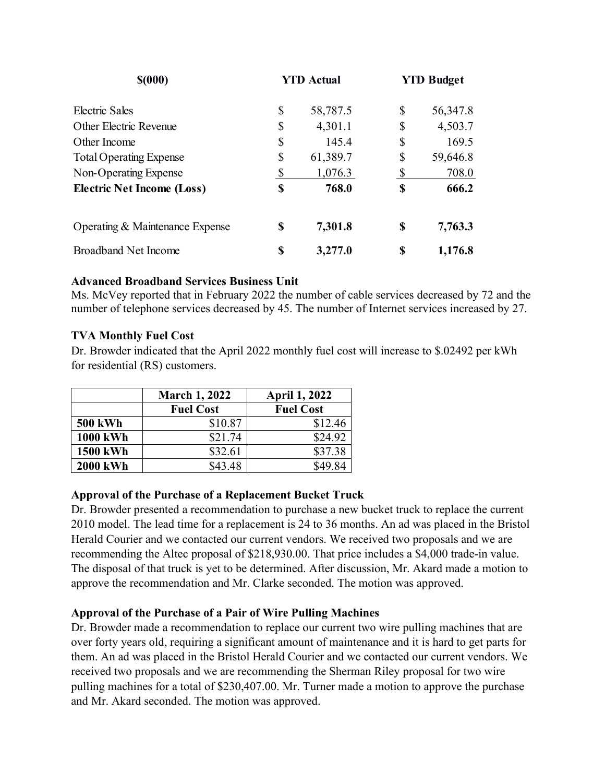| \$(000)                           | <b>YTD Actual</b> |    | <b>YTD Budget</b> |
|-----------------------------------|-------------------|----|-------------------|
| Electric Sales                    | \$<br>58,787.5    | \$ | 56,347.8          |
| Other Electric Revenue            | \$<br>4,301.1     | \$ | 4,503.7           |
| Other Income                      | \$<br>145.4       | \$ | 169.5             |
| <b>Total Operating Expense</b>    | \$<br>61,389.7    | \$ | 59,646.8          |
| Non-Operating Expense             | 1,076.3           | \$ | 708.0             |
| <b>Electric Net Income (Loss)</b> | \$<br>768.0       | S  | 666.2             |
| Operating & Maintenance Expense   | \$<br>7,301.8     | S  | 7,763.3           |
| <b>Broadband Net Income</b>       | \$<br>3,277.0     | S  | 1,176.8           |

## **Advanced Broadband Services Business Unit**

Ms. McVey reported that in February 2022 the number of cable services decreased by 72 and the number of telephone services decreased by 45. The number of Internet services increased by 27.

## **TVA Monthly Fuel Cost**

Dr. Browder indicated that the April 2022 monthly fuel cost will increase to \$.02492 per kWh for residential (RS) customers.

|                 | <b>March 1, 2022</b> | <b>April 1, 2022</b> |  |
|-----------------|----------------------|----------------------|--|
|                 | <b>Fuel Cost</b>     | <b>Fuel Cost</b>     |  |
| <b>500 kWh</b>  | \$10.87              | \$12.46              |  |
| <b>1000 kWh</b> | \$21.74              | \$24.92              |  |
| <b>1500 kWh</b> | \$32.61              | \$37.38              |  |
| <b>2000 kWh</b> | \$43.48              | \$49.84              |  |

# **Approval of the Purchase of a Replacement Bucket Truck**

Dr. Browder presented a recommendation to purchase a new bucket truck to replace the current 2010 model. The lead time for a replacement is 24 to 36 months. An ad was placed in the Bristol Herald Courier and we contacted our current vendors. We received two proposals and we are recommending the Altec proposal of \$218,930.00. That price includes a \$4,000 trade-in value. The disposal of that truck is yet to be determined. After discussion, Mr. Akard made a motion to approve the recommendation and Mr. Clarke seconded. The motion was approved.

# **Approval of the Purchase of a Pair of Wire Pulling Machines**

Dr. Browder made a recommendation to replace our current two wire pulling machines that are over forty years old, requiring a significant amount of maintenance and it is hard to get parts for them. An ad was placed in the Bristol Herald Courier and we contacted our current vendors. We received two proposals and we are recommending the Sherman Riley proposal for two wire pulling machines for a total of \$230,407.00. Mr. Turner made a motion to approve the purchase and Mr. Akard seconded. The motion was approved.